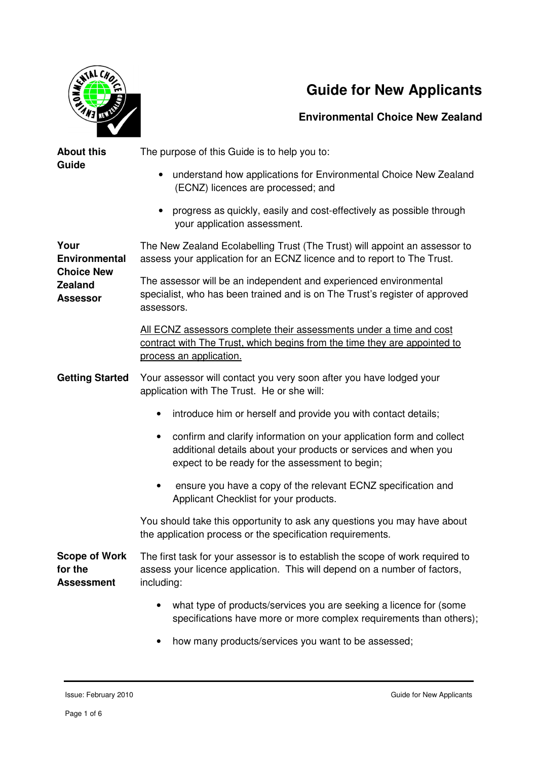

## **Guide for New Applicants**

**Environmental Choice New Zealand**

| <b>About this</b><br>Guide                                                             | The purpose of this Guide is to help you to:                                                                                                                                                            |
|----------------------------------------------------------------------------------------|---------------------------------------------------------------------------------------------------------------------------------------------------------------------------------------------------------|
|                                                                                        | understand how applications for Environmental Choice New Zealand<br>$\bullet$<br>(ECNZ) licences are processed; and                                                                                     |
|                                                                                        | progress as quickly, easily and cost-effectively as possible through<br>$\bullet$<br>your application assessment.                                                                                       |
| Your<br><b>Environmental</b><br><b>Choice New</b><br><b>Zealand</b><br><b>Assessor</b> | The New Zealand Ecolabelling Trust (The Trust) will appoint an assessor to<br>assess your application for an ECNZ licence and to report to The Trust.                                                   |
|                                                                                        | The assessor will be an independent and experienced environmental<br>specialist, who has been trained and is on The Trust's register of approved<br>assessors.                                          |
|                                                                                        | All ECNZ assessors complete their assessments under a time and cost<br>contract with The Trust, which begins from the time they are appointed to<br>process an application.                             |
| <b>Getting Started</b>                                                                 | Your assessor will contact you very soon after you have lodged your<br>application with The Trust. He or she will:                                                                                      |
|                                                                                        | introduce him or herself and provide you with contact details;<br>$\bullet$                                                                                                                             |
|                                                                                        | confirm and clarify information on your application form and collect<br>$\bullet$<br>additional details about your products or services and when you<br>expect to be ready for the assessment to begin; |
|                                                                                        | ensure you have a copy of the relevant ECNZ specification and<br>٠<br>Applicant Checklist for your products.                                                                                            |
|                                                                                        | You should take this opportunity to ask any questions you may have about<br>the application process or the specification requirements.                                                                  |
| <b>Scope of Work</b><br>for the<br><b>Assessment</b>                                   | The first task for your assessor is to establish the scope of work required to<br>assess your licence application. This will depend on a number of factors,<br>including:                               |
|                                                                                        | what type of products/services you are seeking a licence for (some<br>specifications have more or more complex requirements than others);                                                               |
|                                                                                        | how many products/services you want to be assessed;                                                                                                                                                     |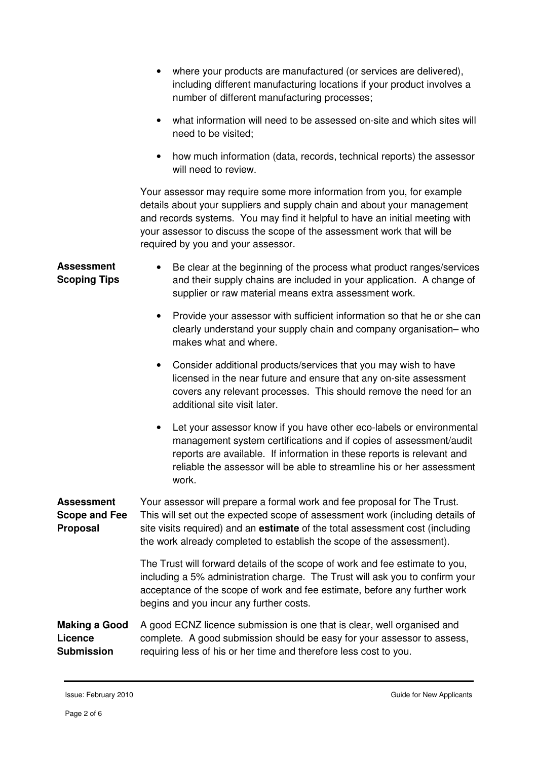- where your products are manufactured (or services are delivered), including different manufacturing locations if your product involves a number of different manufacturing processes;
- what information will need to be assessed on-site and which sites will need to be visited;
- how much information (data, records, technical reports) the assessor will need to review.

Your assessor may require some more information from you, for example details about your suppliers and supply chain and about your management and records systems. You may find it helpful to have an initial meeting with your assessor to discuss the scope of the assessment work that will be required by you and your assessor.

**Assessment Scoping Tips**  • Be clear at the beginning of the process what product ranges/services and their supply chains are included in your application. A change of supplier or raw material means extra assessment work.

- Provide your assessor with sufficient information so that he or she can clearly understand your supply chain and company organisation– who makes what and where.
- Consider additional products/services that you may wish to have licensed in the near future and ensure that any on-site assessment covers any relevant processes. This should remove the need for an additional site visit later.
- Let your assessor know if you have other eco-labels or environmental management system certifications and if copies of assessment/audit reports are available. If information in these reports is relevant and reliable the assessor will be able to streamline his or her assessment work.

**Assessment Scope and Fee Proposal**  Your assessor will prepare a formal work and fee proposal for The Trust. This will set out the expected scope of assessment work (including details of site visits required) and an **estimate** of the total assessment cost (including the work already completed to establish the scope of the assessment).

> The Trust will forward details of the scope of work and fee estimate to you, including a 5% administration charge. The Trust will ask you to confirm your acceptance of the scope of work and fee estimate, before any further work begins and you incur any further costs.

## **Making a Good Licence Submission**  A good ECNZ licence submission is one that is clear, well organised and complete. A good submission should be easy for your assessor to assess, requiring less of his or her time and therefore less cost to you.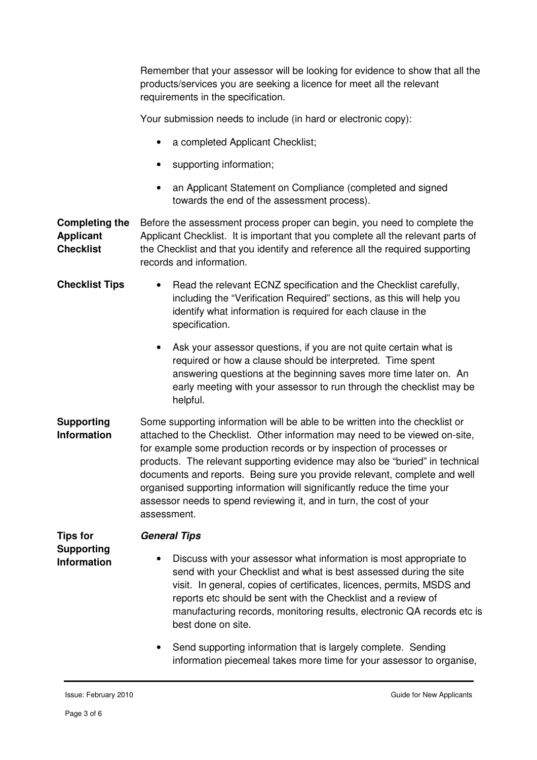Remember that your assessor will be looking for evidence to show that all the products/services you are seeking a licence for meet all the relevant requirements in the specification.

Your submission needs to include (in hard or electronic copy):

- a completed Applicant Checklist;
- supporting information;
- an Applicant Statement on Compliance (completed and signed towards the end of the assessment process).

**Completing the Applicant Checklist**  Before the assessment process proper can begin, you need to complete the Applicant Checklist. It is important that you complete all the relevant parts of the Checklist and that you identify and reference all the required supporting records and information.

- **Checklist Tips** Read the relevant ECNZ specification and the Checklist carefully, including the "Verification Required" sections, as this will help you identify what information is required for each clause in the specification.
	- Ask your assessor questions, if you are not quite certain what is required or how a clause should be interpreted. Time spent answering questions at the beginning saves more time later on. An early meeting with your assessor to run through the checklist may be helpful.
- **Supporting Information**  Some supporting information will be able to be written into the checklist or attached to the Checklist. Other information may need to be viewed on-site, for example some production records or by inspection of processes or products. The relevant supporting evidence may also be "buried" in technical documents and reports. Being sure you provide relevant, complete and well organised supporting information will significantly reduce the time your assessor needs to spend reviewing it, and in turn, the cost of your assessment.

**Tips for Supporting Information General Tips** 

- Discuss with your assessor what information is most appropriate to send with your Checklist and what is best assessed during the site visit. In general, copies of certificates, licences, permits, MSDS and reports etc should be sent with the Checklist and a review of manufacturing records, monitoring results, electronic QA records etc is best done on site.
	- Send supporting information that is largely complete. Sending information piecemeal takes more time for your assessor to organise,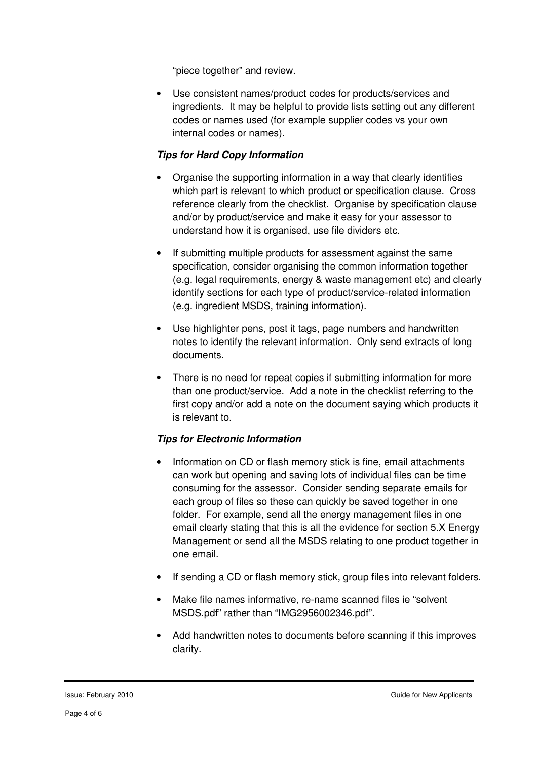"piece together" and review.

• Use consistent names/product codes for products/services and ingredients. It may be helpful to provide lists setting out any different codes or names used (for example supplier codes vs your own internal codes or names).

## **Tips for Hard Copy Information**

- Organise the supporting information in a way that clearly identifies which part is relevant to which product or specification clause. Cross reference clearly from the checklist. Organise by specification clause and/or by product/service and make it easy for your assessor to understand how it is organised, use file dividers etc.
- If submitting multiple products for assessment against the same specification, consider organising the common information together (e.g. legal requirements, energy & waste management etc) and clearly identify sections for each type of product/service-related information (e.g. ingredient MSDS, training information).
- Use highlighter pens, post it tags, page numbers and handwritten notes to identify the relevant information. Only send extracts of long documents.
- There is no need for repeat copies if submitting information for more than one product/service. Add a note in the checklist referring to the first copy and/or add a note on the document saying which products it is relevant to.

## **Tips for Electronic Information**

- Information on CD or flash memory stick is fine, email attachments can work but opening and saving lots of individual files can be time consuming for the assessor. Consider sending separate emails for each group of files so these can quickly be saved together in one folder. For example, send all the energy management files in one email clearly stating that this is all the evidence for section 5.X Energy Management or send all the MSDS relating to one product together in one email.
- If sending a CD or flash memory stick, group files into relevant folders.
- Make file names informative, re-name scanned files ie "solvent MSDS.pdf" rather than "IMG2956002346.pdf".
- Add handwritten notes to documents before scanning if this improves clarity.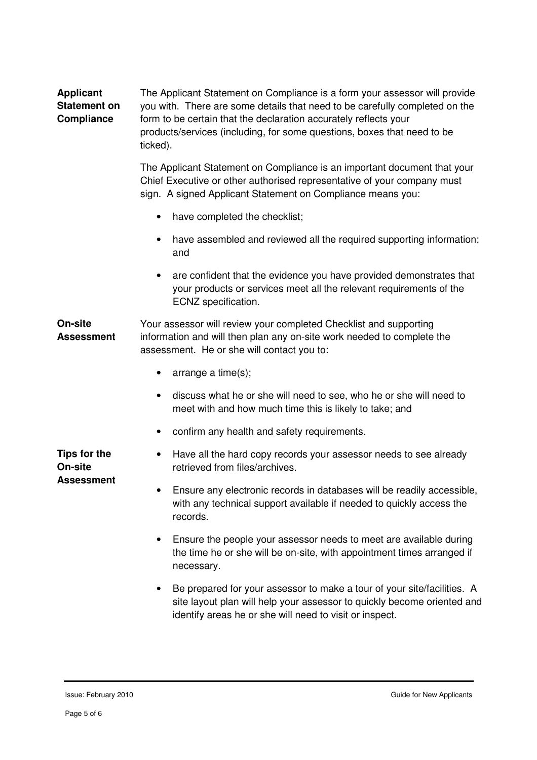| <b>Applicant</b><br><b>Statement on</b><br>Compliance | The Applicant Statement on Compliance is a form your assessor will provide<br>you with. There are some details that need to be carefully completed on the<br>form to be certain that the declaration accurately reflects your<br>products/services (including, for some questions, boxes that need to be<br>ticked). |
|-------------------------------------------------------|----------------------------------------------------------------------------------------------------------------------------------------------------------------------------------------------------------------------------------------------------------------------------------------------------------------------|
|                                                       | The Applicant Statement on Compliance is an important document that your<br>Chief Executive or other authorised representative of your company must<br>sign. A signed Applicant Statement on Compliance means you:                                                                                                   |
|                                                       | have completed the checklist;<br>$\bullet$                                                                                                                                                                                                                                                                           |
|                                                       | have assembled and reviewed all the required supporting information;<br>and                                                                                                                                                                                                                                          |
|                                                       | are confident that the evidence you have provided demonstrates that<br>$\bullet$<br>your products or services meet all the relevant requirements of the<br>ECNZ specification.                                                                                                                                       |
| On-site<br><b>Assessment</b>                          | Your assessor will review your completed Checklist and supporting<br>information and will then plan any on-site work needed to complete the<br>assessment. He or she will contact you to:                                                                                                                            |
|                                                       | arrange a time(s);<br>٠                                                                                                                                                                                                                                                                                              |
|                                                       | discuss what he or she will need to see, who he or she will need to<br>meet with and how much time this is likely to take; and                                                                                                                                                                                       |
|                                                       | confirm any health and safety requirements.<br>$\bullet$                                                                                                                                                                                                                                                             |
| <b>Tips for the</b><br>On-site<br><b>Assessment</b>   | Have all the hard copy records your assessor needs to see already<br>retrieved from files/archives.                                                                                                                                                                                                                  |
|                                                       | Ensure any electronic records in databases will be readily accessible,<br>with any technical support available if needed to quickly access the<br>records.                                                                                                                                                           |
|                                                       | Ensure the people your assessor needs to meet are available during<br>the time he or she will be on-site, with appointment times arranged if<br>necessary.                                                                                                                                                           |
|                                                       | Be prepared for your assessor to make a tour of your site/facilities. A<br>$\bullet$<br>site layout plan will help your assessor to quickly become oriented and<br>identify areas he or she will need to visit or inspect.                                                                                           |